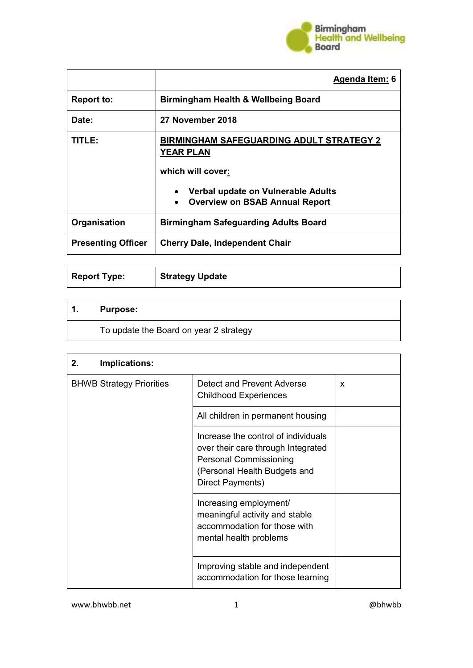

|                           | Agenda Item: 6                                                                                        |  |
|---------------------------|-------------------------------------------------------------------------------------------------------|--|
| <b>Report to:</b>         | <b>Birmingham Health &amp; Wellbeing Board</b>                                                        |  |
| Date:                     | 27 November 2018                                                                                      |  |
| TITLE:                    | <b>BIRMINGHAM SAFEGUARDING ADULT STRATEGY 2</b><br>YEAR PLAN                                          |  |
|                           | which will cover:                                                                                     |  |
|                           | Verbal update on Vulnerable Adults<br>$\bullet$<br><b>Overview on BSAB Annual Report</b><br>$\bullet$ |  |
| Organisation              | <b>Birmingham Safeguarding Adults Board</b>                                                           |  |
| <b>Presenting Officer</b> | <b>Cherry Dale, Independent Chair</b>                                                                 |  |

| <b>Report Type:</b> | Strategy Update |  |
|---------------------|-----------------|--|
|---------------------|-----------------|--|

| . | <b>Purpose:</b> |
|---|-----------------|
|   |                 |

To update the Board on year 2 strategy

| 2.<br>Implications:             |                                                                                                                                                                |   |
|---------------------------------|----------------------------------------------------------------------------------------------------------------------------------------------------------------|---|
| <b>BHWB Strategy Priorities</b> | Detect and Prevent Adverse<br><b>Childhood Experiences</b>                                                                                                     | X |
|                                 | All children in permanent housing                                                                                                                              |   |
|                                 | Increase the control of individuals<br>over their care through Integrated<br><b>Personal Commissioning</b><br>(Personal Health Budgets and<br>Direct Payments) |   |
|                                 | Increasing employment/<br>meaningful activity and stable<br>accommodation for those with<br>mental health problems                                             |   |
|                                 | Improving stable and independent<br>accommodation for those learning                                                                                           |   |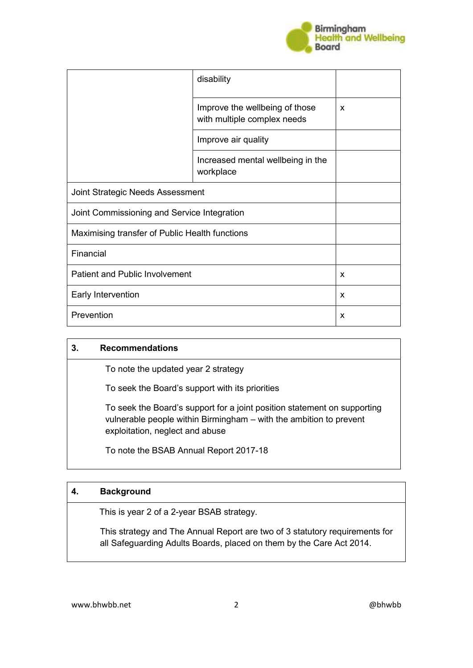

|                                                | disability                                                    |   |
|------------------------------------------------|---------------------------------------------------------------|---|
|                                                | Improve the wellbeing of those<br>with multiple complex needs | X |
|                                                | Improve air quality                                           |   |
|                                                | Increased mental wellbeing in the<br>workplace                |   |
| Joint Strategic Needs Assessment               |                                                               |   |
| Joint Commissioning and Service Integration    |                                                               |   |
| Maximising transfer of Public Health functions |                                                               |   |
| Financial                                      |                                                               |   |
| <b>Patient and Public Involvement</b>          |                                                               | X |
| Early Intervention                             |                                                               | X |
| Prevention                                     |                                                               | X |

#### **3. Recommendations**

To note the updated year 2 strategy

To seek the Board's support with its priorities

 To seek the Board's support for a joint position statement on supporting vulnerable people within Birmingham – with the ambition to prevent exploitation, neglect and abuse

To note the BSAB Annual Report 2017-18

### **4. Background**

This is year 2 of a 2-year BSAB strategy.

 This strategy and The Annual Report are two of 3 statutory requirements for all Safeguarding Adults Boards, placed on them by the Care Act 2014.